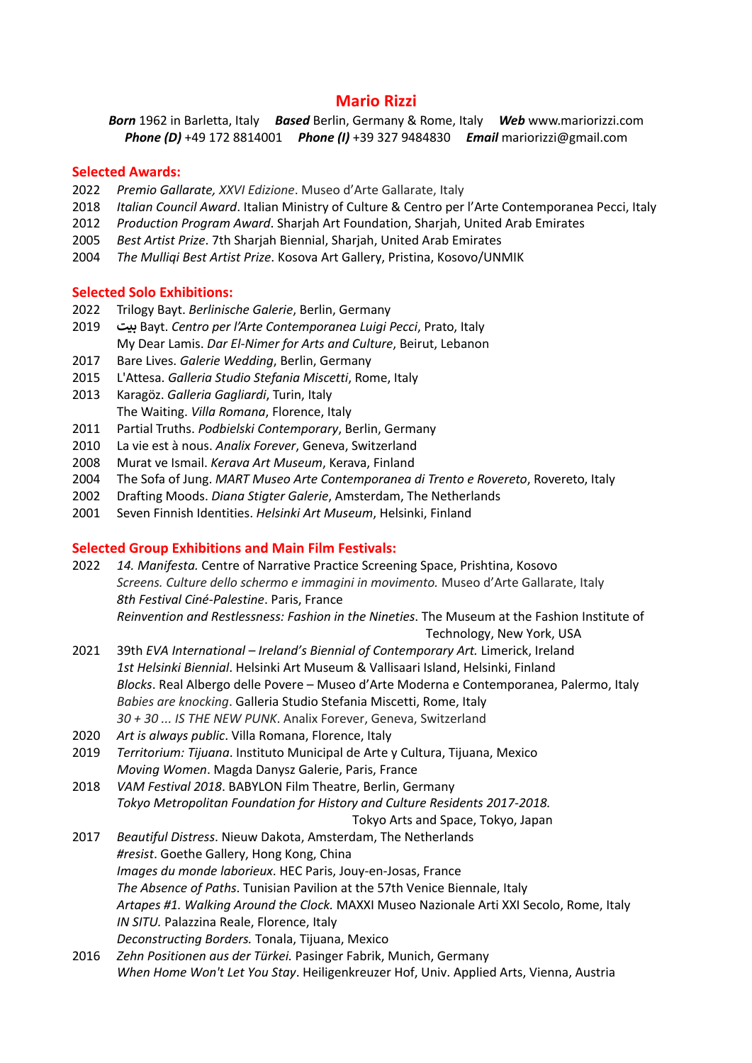# **Mario Rizzi**

*Born* 1962 in Barletta, Italy *Based* Berlin, Germany & Rome, Italy *Web* www.mariorizzi.com *Phone (D)* +49 172 8814001 *Phone (I)* +39 327 9484830 *Email* mariorizzi@gmail.com

#### **Selected Awards:**

- 2022 *Premio Gallarate, XXVI Edizione*. Museo d'Arte Gallarate, Italy
- 2018 *Italian Council Award*. Italian Ministry of Culture & Centro per l'Arte Contemporanea Pecci, Italy
- 2012 *Production Program Award*. Sharjah Art Foundation, Sharjah, United Arab Emirates
- 2005 *Best Artist Prize*. 7th Sharjah Biennial, Sharjah, United Arab Emirates
- 2004 *The Mulliqi Best Artist Prize*. Kosova Art Gallery, Pristina, Kosovo/UNMIK

#### **Selected Solo Exhibitions:**

- 2022 Trilogy Bayt. *Berlinische Galerie*, Berlin, Germany
- 2019 **ب9ت** Bayt. *Centro per l'Arte Contemporanea Luigi Pecci*, Prato, Italy My Dear Lamis. *Dar El-Nimer for Arts and Culture*, Beirut, Lebanon
- 2017 Bare Lives. *Galerie Wedding*, Berlin, Germany
- 2015 L'Attesa. *Galleria Studio Stefania Miscetti*, Rome, Italy
- 2013 Karagöz. *Galleria Gagliardi*, Turin, Italy The Waiting. *Villa Romana*, Florence, Italy
- 2011 Partial Truths. *Podbielski Contemporary*, Berlin, Germany
- 2010 La vie est à nous. *Analix Forever*, Geneva, Switzerland
- 2008 Murat ve Ismail. *Kerava Art Museum*, Kerava, Finland
- 2004 The Sofa of Jung. *MART Museo Arte Contemporanea di Trento e Rovereto*, Rovereto, Italy
- 2002 Drafting Moods. *Diana Stigter Galerie*, Amsterdam, The Netherlands
- 2001 Seven Finnish Identities. *Helsinki Art Museum*, Helsinki, Finland

#### **Selected Group Exhibitions and Main Film Festivals:**

- 2022 *14. Manifesta.* Centre of Narrative Practice Screening Space, Prishtina, Kosovo *Screens. Culture dello schermo e immagini in movimento.* Museo d'Arte Gallarate, Italy *8th Festival Ciné-Palestine*. Paris, France *Reinvention and Restlessness: Fashion in the Nineties*. The Museum at the Fashion Institute of
	- Technology, New York, USA
- 2021 39th *EVA International – Ireland's Biennial of Contemporary Art.* Limerick, Ireland *1st Helsinki Biennial*. Helsinki Art Museum & Vallisaari Island, Helsinki, Finland *Blocks*. Real Albergo delle Povere – Museo d'Arte Moderna e Contemporanea, Palermo, Italy *Babies are knocking*. Galleria Studio Stefania Miscetti, Rome, Italy *30 + 30 ... IS THE NEW PUNK*. Analix Forever, Geneva, Switzerland
- 2020 *Art is always public*. Villa Romana, Florence, Italy
- 2019 *Territorium: Tijuana*. Instituto Municipal de Arte y Cultura, Tijuana, Mexico *Moving Women*. Magda Danysz Galerie, Paris, France
- 2018 *VAM Festival 2018*. BABYLON Film Theatre, Berlin, Germany *Tokyo Metropolitan Foundation for History and Culture Residents 2017-2018.*
	- Tokyo Arts and Space, Tokyo, Japan
- 2017 *Beautiful Distress*. Nieuw Dakota, Amsterdam, The Netherlands *#resist*. Goethe Gallery, Hong Kong, China *Images du monde laborieux*. HEC Paris, Jouy-en-Josas, France *The Absence of Paths*. Tunisian Pavilion at the 57th Venice Biennale, Italy *Artapes #1. Walking Around the Clock.* MAXXI Museo Nazionale Arti XXI Secolo, Rome, Italy *IN SITU.* Palazzina Reale, Florence, Italy *Deconstructing Borders.* Tonala, Tijuana, Mexico
- 2016 *Zehn Positionen aus der Türkei.* Pasinger Fabrik, Munich, Germany *When Home Won't Let You Stay*. Heiligenkreuzer Hof, Univ. Applied Arts, Vienna, Austria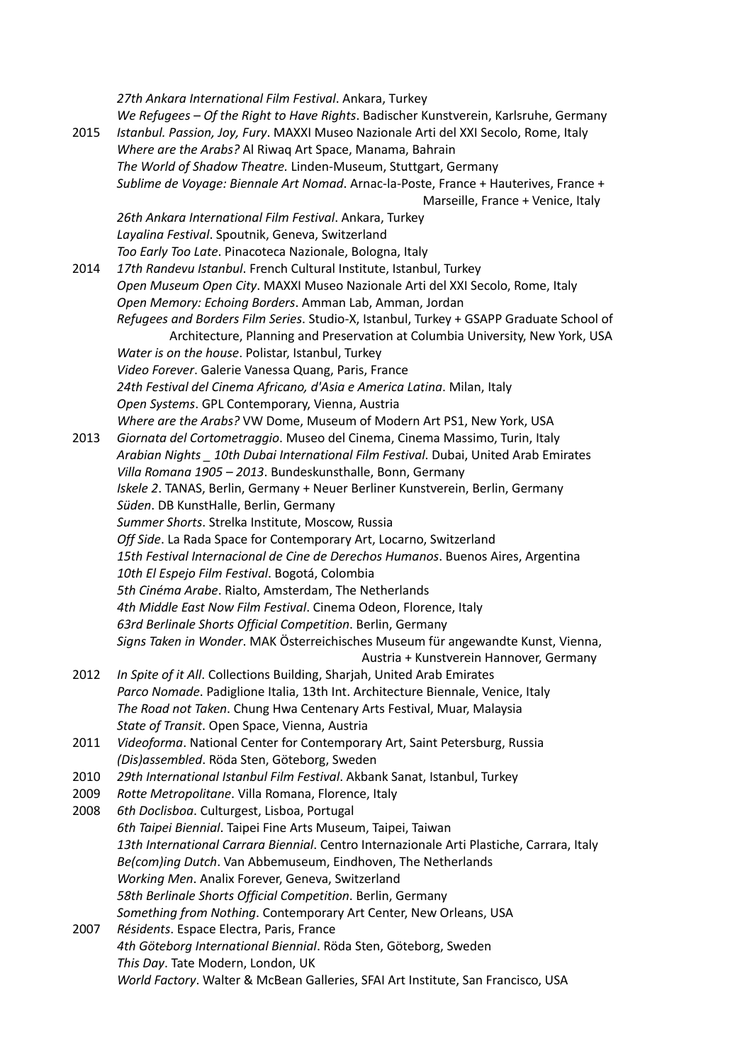*27th Ankara International Film Festival*. Ankara, Turkey *We Refugees – Of the Right to Have Rights*. Badischer Kunstverein, Karlsruhe, Germany 2015 *Istanbul. Passion, Joy, Fury*. MAXXI Museo Nazionale Arti del XXI Secolo, Rome, Italy *Where are the Arabs?* Al Riwaq Art Space, Manama, Bahrain *The World of Shadow Theatre.* Linden-Museum, Stuttgart, Germany *Sublime de Voyage: Biennale Art Nomad*. Arnac-la-Poste, France + Hauterives, France + Marseille, France + Venice, Italy *26th Ankara International Film Festival*. Ankara, Turkey *Layalina Festival*. Spoutnik, Geneva, Switzerland *Too Early Too Late*. Pinacoteca Nazionale, Bologna, Italy 2014 *17th Randevu Istanbul*. French Cultural Institute, Istanbul, Turkey *Open Museum Open City*. MAXXI Museo Nazionale Arti del XXI Secolo, Rome, Italy *Open Memory: Echoing Borders*. Amman Lab, Amman, Jordan *Refugees and Borders Film Series*. Studio-X, Istanbul, Turkey + GSAPP Graduate School of Architecture, Planning and Preservation at Columbia University, New York, USA *Water is on the house*. Polistar, Istanbul, Turkey *Video Forever*. Galerie Vanessa Quang, Paris, France *24th Festival del Cinema Africano, d'Asia e America Latina*. Milan, Italy *Open Systems*. GPL Contemporary, Vienna, Austria *Where are the Arabs?* VW Dome, Museum of Modern Art PS1, New York, USA 2013 *Giornata del Cortometraggio*. Museo del Cinema, Cinema Massimo, Turin, Italy *Arabian Nights \_ 10th Dubai International Film Festival*. Dubai, United Arab Emirates *Villa Romana 1905 – 2013*. Bundeskunsthalle, Bonn, Germany *Iskele 2*. TANAS, Berlin, Germany + Neuer Berliner Kunstverein, Berlin, Germany *Süden*. DB KunstHalle, Berlin, Germany *Summer Shorts*. Strelka Institute, Moscow, Russia *Off Side*. La Rada Space for Contemporary Art, Locarno, Switzerland *15th Festival Internacional de Cine de Derechos Humanos*. Buenos Aires, Argentina *10th El Espejo Film Festival*. Bogotá, Colombia *5th Cinéma Arabe*. Rialto, Amsterdam, The Netherlands *4th Middle East Now Film Festival*. Cinema Odeon, Florence, Italy *63rd Berlinale Shorts Official Competition*. Berlin, Germany *Signs Taken in Wonder*. MAK Österreichisches Museum für angewandte Kunst, Vienna, Austria + Kunstverein Hannover, Germany 2012 *In Spite of it All*. Collections Building, Sharjah, United Arab Emirates *Parco Nomade*. Padiglione Italia, 13th Int. Architecture Biennale, Venice, Italy *The Road not Taken*. Chung Hwa Centenary Arts Festival, Muar, Malaysia *State of Transit*. Open Space, Vienna, Austria 2011 *Videoforma*. National Center for Contemporary Art, Saint Petersburg, Russia *(Dis)assembled*. Röda Sten, Göteborg, Sweden 2010 *29th International Istanbul Film Festival*. Akbank Sanat, Istanbul, Turkey 2009 *Rotte Metropolitane*. Villa Romana, Florence, Italy 2008 *6th Doclisboa*. Culturgest, Lisboa, Portugal *6th Taipei Biennial*. Taipei Fine Arts Museum, Taipei, Taiwan *13th International Carrara Biennial*. Centro Internazionale Arti Plastiche, Carrara, Italy *Be(com)ing Dutch*. Van Abbemuseum, Eindhoven, The Netherlands *Working Men*. Analix Forever, Geneva, Switzerland *58th Berlinale Shorts Official Competition*. Berlin, Germany *Something from Nothing*. Contemporary Art Center, New Orleans, USA 2007 *Résidents*. Espace Electra, Paris, France *4th Göteborg International Biennial*. Röda Sten, Göteborg, Sweden *This Day*. Tate Modern, London, UK *World Factory*. Walter & McBean Galleries, SFAI Art Institute, San Francisco, USA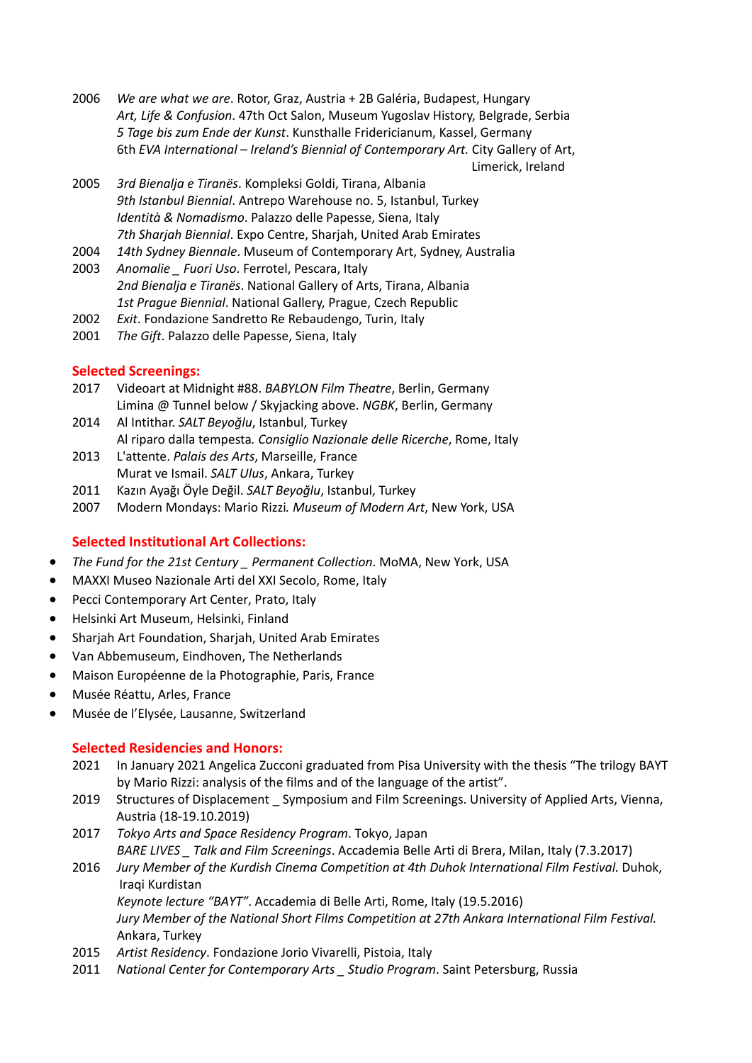- 2006 *We are what we are*. Rotor, Graz, Austria + 2B Galéria, Budapest, Hungary *Art, Life & Confusion*. 47th Oct Salon, Museum Yugoslav History, Belgrade, Serbia *5 Tage bis zum Ende der Kunst*. Kunsthalle Fridericianum, Kassel, Germany 6th *EVA International – Ireland's Biennial of Contemporary Art.* City Gallery of Art, Limerick, Ireland
- 2005 *3rd Bienalja e Tiranës*. Kompleksi Goldi, Tirana, Albania *9th Istanbul Biennial*. Antrepo Warehouse no. 5, Istanbul, Turkey *Identità & Nomadismo*. Palazzo delle Papesse, Siena, Italy *7th Sharjah Biennial*. Expo Centre, Sharjah, United Arab Emirates
- 2004 *14th Sydney Biennale*. Museum of Contemporary Art, Sydney, Australia
- 2003 *Anomalie \_ Fuori Uso*. Ferrotel, Pescara, Italy *2nd Bienalja e Tiranës*. National Gallery of Arts, Tirana, Albania *1st Prague Biennial*. National Gallery, Prague, Czech Republic
- 2002 *Exit*. Fondazione Sandretto Re Rebaudengo, Turin, Italy
- 2001 *The Gift*. Palazzo delle Papesse, Siena, Italy

### **Selected Screenings:**

- 2017 Videoart at Midnight #88. *BABYLON Film Theatre*, Berlin, Germany Limina @ Tunnel below / Skyjacking above. *NGBK*, Berlin, Germany
- 2014 Al Intithar. *SALT Beyoğlu*, Istanbul, Turkey Al riparo dalla tempesta*. Consiglio Nazionale delle Ricerche*, Rome, Italy
- 2013 L'attente. *Palais des Arts*, Marseille, France Murat ve Ismail. *SALT Ulus*, Ankara, Turkey
- 2011 Kazın Ayağı Öyle Değil. *SALT Beyoğlu*, Istanbul, Turkey
- 2007 Modern Mondays: Mario Rizzi*. Museum of Modern Art*, New York, USA

# **Selected Institutional Art Collections:**

- *The Fund for the 21st Century \_ Permanent Collection*. MoMA, New York, USA
- MAXXI Museo Nazionale Arti del XXI Secolo, Rome, Italy
- Pecci Contemporary Art Center, Prato, Italy
- Helsinki Art Museum, Helsinki, Finland
- Sharjah Art Foundation, Sharjah, United Arab Emirates
- Van Abbemuseum, Eindhoven, The Netherlands
- Maison Européenne de la Photographie, Paris, France
- Musée Réattu, Arles, France
- Musée de l'Elysée, Lausanne, Switzerland

# **Selected Residencies and Honors:**

- 2021 In January 2021 Angelica Zucconi graduated from Pisa University with the thesis "The trilogy BAYT by Mario Rizzi: analysis of the films and of the language of the artist".
- 2019 Structures of Displacement \_ Symposium and Film Screenings. University of Applied Arts, Vienna, Austria (18-19.10.2019)
- 2017 *Tokyo Arts and Space Residency Program*. Tokyo, Japan *BARE LIVES \_ Talk and Film Screenings*. Accademia Belle Arti di Brera, Milan, Italy (7.3.2017)
- 2016 *Jury Member of the Kurdish Cinema Competition at 4th Duhok International Film Festival.* Duhok, Iraqi Kurdistan

 *Keynote lecture "BAYT"*. Accademia di Belle Arti, Rome, Italy (19.5.2016)

*Jury Member of the National Short Films Competition at 27th Ankara International Film Festival.* Ankara, Turkey

- 2015 *Artist Residency*. Fondazione Jorio Vivarelli, Pistoia, Italy
- 2011 *National Center for Contemporary Arts \_ Studio Program*. Saint Petersburg, Russia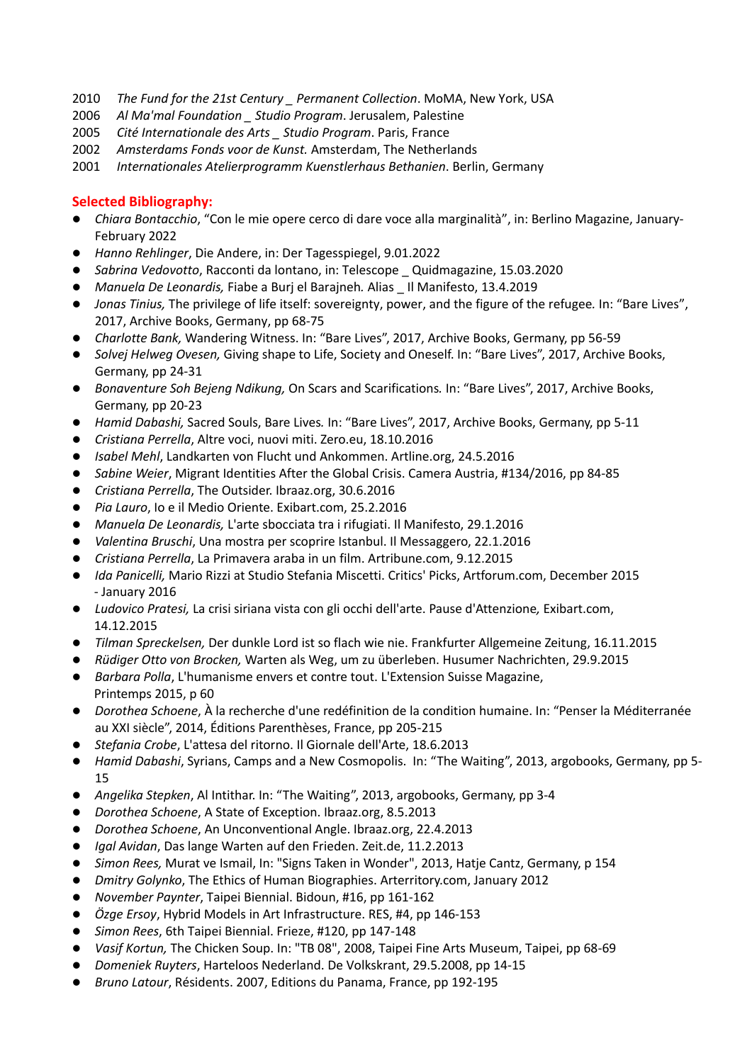- 2010 *The Fund for the 21st Century \_ Permanent Collection*. MoMA, New York, USA
- 2006 *Al Ma'mal Foundation \_ Studio Program*. Jerusalem, Palestine
- 2005 *Cité Internationale des Arts \_ Studio Program*. Paris, France
- 2002 *Amsterdams Fonds voor de Kunst.* Amsterdam, The Netherlands
- 2001 *Internationales Atelierprogramm Kuenstlerhaus Bethanien*. Berlin, Germany

### **Selected Bibliography:**

- l *Chiara Bontacchio*, "Con le mie opere cerco di dare voce alla marginalità", in: Berlino Magazine, January-February 2022
- l *Hanno Rehlinger*, Die Andere, in: Der Tagesspiegel, 9.01.2022
- l *Sabrina Vedovotto*, Racconti da lontano, in: Telescope \_ Quidmagazine, 15.03.2020
- l *Manuela De Leonardis,* Fiabe a Burj el Barajneh*.* Alias \_ Il Manifesto, 13.4.2019
- l *Jonas Tinius,* The privilege of life itself: sovereignty, power, and the figure of the refugee*.* In: "Bare Lives", 2017, Archive Books, Germany, pp 68-75
- l *Charlotte Bank,* Wandering Witness. In: "Bare Lives", 2017, Archive Books, Germany, pp 56-59
- l *Solvej Helweg Ovesen,* Giving shape to Life, Society and Oneself. In: "Bare Lives", 2017, Archive Books, Germany, pp 24-31
- *Bonaventure Soh Bejeng Ndikung, On Scars and Scarifications. In: "Bare Lives", 2017, Archive Books,* Germany, pp 20-23
- l *Hamid Dabashi,* Sacred Souls, Bare Lives*.* In: "Bare Lives", 2017, Archive Books, Germany, pp 5-11
- l *Cristiana Perrella*, Altre voci, nuovi miti. Zero.eu, 18.10.2016
- l *Isabel Mehl*, Landkarten von Flucht und Ankommen. Artline.org, 24.5.2016
- **•** Sabine Weier, Migrant Identities After the Global Crisis. Camera Austria, #134/2016, pp 84-85
- **•** *Cristiana Perrella*, The Outsider. Ibraaz.org, 30.6.2016
- l *Pia Lauro*, Io e il Medio Oriente. Exibart.com, 25.2.2016
- l *Manuela De Leonardis,* L'arte sbocciata tra i rifugiati. Il Manifesto, 29.1.2016
- l *Valentina Bruschi*, Una mostra per scoprire Istanbul. Il Messaggero, 22.1.2016
- l *Cristiana Perrella*, La Primavera araba in un film. Artribune.com, 9.12.2015
- *Ida Panicelli*, Mario Rizzi at Studio Stefania Miscetti. Critics' Picks, Artforum.com, December 2015 - January 2016
- l *Ludovico Pratesi,* La crisi siriana vista con gli occhi dell'arte. Pause d'Attenzione*,* Exibart.com, 14.12.2015
- l *Tilman Spreckelsen,* Der dunkle Lord ist so flach wie nie. Frankfurter Allgemeine Zeitung, 16.11.2015
- l *Rüdiger Otto von Brocken,* Warten als Weg, um zu überleben. Husumer Nachrichten, 29.9.2015
- **·** Barbara Polla, L'humanisme envers et contre tout. L'Extension Suisse Magazine, Printemps 2015, p 60
- l *Dorothea Schoene*, À la recherche d'une redéfinition de la condition humaine. In: "Penser la Méditerranée au XXI siècle", 2014, Éditions Parenthèses, France, pp 205-215
- *Stefania Crobe*, L'attesa del ritorno. Il Giornale dell'Arte, 18.6.2013
- l *Hamid Dabashi*, Syrians, Camps and a New Cosmopolis. In: "The Waiting", 2013, argobooks, Germany, pp 5- 15
- l *Angelika Stepken*, Al Intithar. In: "The Waiting", 2013, argobooks, Germany, pp 3-4
- l *Dorothea Schoene*, A State of Exception. Ibraaz.org, 8.5.2013
- l *Dorothea Schoene*, An Unconventional Angle. Ibraaz.org, 22.4.2013
- l *Igal Avidan*, Das lange Warten auf den Frieden. Zeit.de, 11.2.2013
- l *Simon Rees,* Murat ve Ismail, In: "Signs Taken in Wonder", 2013, Hatje Cantz, Germany, p 154
- l *Dmitry Golynko*, The Ethics of Human Biographies. Arterritory.com, January 2012
- l *November Paynter*, Taipei Biennial. Bidoun, #16, pp 161-162
- l *Özge Ersoy*, Hybrid Models in Art Infrastructure. RES, #4, pp 146-153
- l *Simon Rees*, 6th Taipei Biennial. Frieze, #120, pp 147-148
- l *Vasif Kortun,* The Chicken Soup. In: "TB 08", 2008, Taipei Fine Arts Museum, Taipei, pp 68-69
- l *Domeniek Ruyters*, Harteloos Nederland. De Volkskrant, 29.5.2008, pp 14-15
- l *Bruno Latour*, Résidents. 2007, Editions du Panama, France, pp 192-195